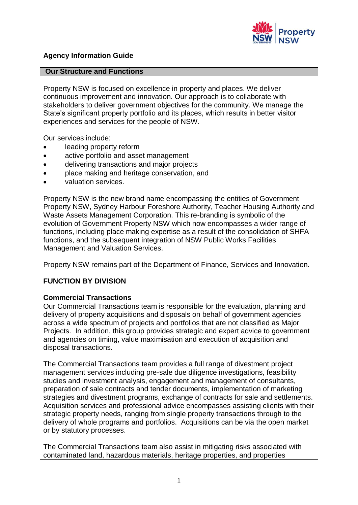

## **Agency Information Guide**

#### **Our Structure and Functions**

Property NSW is focused on excellence in property and places. We deliver continuous improvement and innovation. Our approach is to collaborate with stakeholders to deliver government objectives for the community. We manage the State's significant property portfolio and its places, which results in better visitor experiences and services for the people of NSW.

Our services include:

- leading property reform
- active portfolio and asset management
- delivering transactions and major projects
- place making and heritage conservation, and
- valuation services.

Property NSW is the new brand name encompassing the entities of Government Property NSW, Sydney Harbour Foreshore Authority, Teacher Housing Authority and Waste Assets Management Corporation. This re-branding is symbolic of the evolution of Government Property NSW which now encompasses a wider range of functions, including place making expertise as a result of the consolidation of SHFA functions, and the subsequent integration of NSW Public Works Facilities Management and Valuation Services.

Property NSW remains part of the Department of Finance, Services and Innovation.

## **FUNCTION BY DIVISION**

#### **Commercial Transactions**

Our Commercial Transactions team is responsible for the evaluation, planning and delivery of property acquisitions and disposals on behalf of government agencies across a wide spectrum of projects and portfolios that are not classified as Major Projects. In addition, this group provides strategic and expert advice to government and agencies on timing, value maximisation and execution of acquisition and disposal transactions.

The Commercial Transactions team provides a full range of divestment project management services including pre-sale due diligence investigations, feasibility studies and investment analysis, engagement and management of consultants, preparation of sale contracts and tender documents, implementation of marketing strategies and divestment programs, exchange of contracts for sale and settlements. Acquisition services and professional advice encompasses assisting clients with their strategic property needs, ranging from single property transactions through to the delivery of whole programs and portfolios. Acquisitions can be via the open market or by statutory processes.

The Commercial Transactions team also assist in mitigating risks associated with contaminated land, hazardous materials, heritage properties, and properties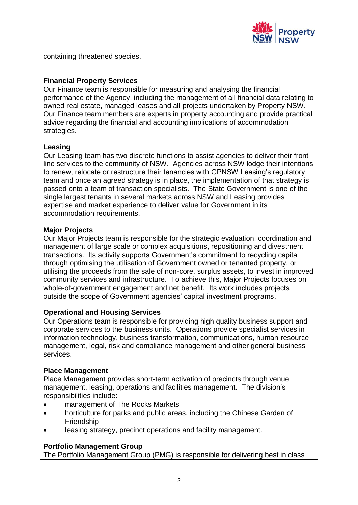

containing threatened species.

## **Financial Property Services**

Our Finance team is responsible for measuring and analysing the financial performance of the Agency, including the management of all financial data relating to owned real estate, managed leases and all projects undertaken by Property NSW. Our Finance team members are experts in property accounting and provide practical advice regarding the financial and accounting implications of accommodation strategies.

### **Leasing**

Our Leasing team has two discrete functions to assist agencies to deliver their front line services to the community of NSW. Agencies across NSW lodge their intentions to renew, relocate or restructure their tenancies with GPNSW Leasing's regulatory team and once an agreed strategy is in place, the implementation of that strategy is passed onto a team of transaction specialists. The State Government is one of the single largest tenants in several markets across NSW and Leasing provides expertise and market experience to deliver value for Government in its accommodation requirements.

#### **Major Projects**

Our Major Projects team is responsible for the strategic evaluation, coordination and management of large scale or complex acquisitions, repositioning and divestment transactions. Its activity supports Government's commitment to recycling capital through optimising the utilisation of Government owned or tenanted property, or utilising the proceeds from the sale of non-core, surplus assets, to invest in improved community services and infrastructure. To achieve this, Major Projects focuses on whole-of-government engagement and net benefit. Its work includes projects outside the scope of Government agencies' capital investment programs.

#### **Operational and Housing Services**

Our Operations team is responsible for providing high quality business support and corporate services to the business units. Operations provide specialist services in information technology, business transformation, communications, human resource management, legal, risk and compliance management and other general business services.

#### **Place Management**

Place Management provides short-term activation of precincts through venue management, leasing, operations and facilities management. The division's responsibilities include:

- management of The Rocks Markets
- horticulture for parks and public areas, including the Chinese Garden of Friendship
- leasing strategy, precinct operations and facility management.

#### **Portfolio Management Group**

The Portfolio Management Group (PMG) is responsible for delivering best in class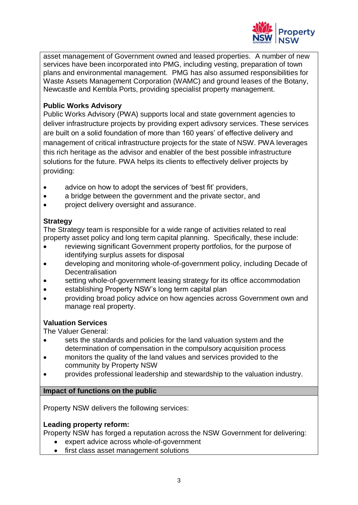

asset management of Government owned and leased properties. A number of new services have been incorporated into PMG, including vesting, preparation of town plans and environmental management. PMG has also assumed responsibilities for Waste Assets Management Corporation (WAMC) and ground leases of the Botany, Newcastle and Kembla Ports, providing specialist property management.

## **Public Works Advisory**

Public Works Advisory (PWA) supports local and state government agencies to deliver infrastructure projects by providing expert adivsory services. These services are built on a solid foundation of more than 160 years' of effective delivery and management of critical infrastructure projects for the state of NSW. PWA leverages this rich heritage as the advisor and enabler of the best possible infrastructure solutions for the future. PWA helps its clients to effectively deliver projects by providing:

- advice on how to adopt the services of 'best fit' providers,
- a bridge between the government and the private sector, and
- project delivery oversight and assurance.

#### **Strategy**

The Strategy team is responsible for a wide range of activities related to real property asset policy and long term capital planning. Specifically, these include:

- reviewing significant Government property portfolios, for the purpose of identifying surplus assets for disposal
- developing and monitoring whole-of-government policy, including Decade of **Decentralisation**
- setting whole-of-government leasing strategy for its office accommodation
- establishing Property NSW's long term capital plan
- providing broad policy advice on how agencies across Government own and manage real property.

## **Valuation Services**

The Valuer General:

- sets the standards and policies for the land valuation system and the determination of compensation in the compulsory acquisition process
- monitors the quality of the land values and services provided to the community by Property NSW
- provides professional leadership and stewardship to the valuation industry.

#### **Impact of functions on the public**

Property NSW delivers the following services:

#### **Leading property reform:**

Property NSW has forged a reputation across the NSW Government for delivering:

- expert advice across whole-of-government
- first class asset management solutions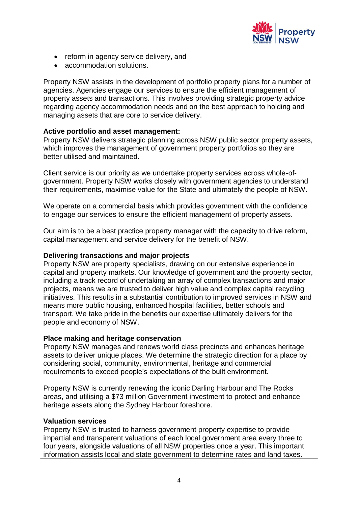

- reform in agency service delivery, and
- accommodation solutions.

Property NSW assists in the development of portfolio property plans for a number of agencies. Agencies engage our services to ensure the efficient management of property assets and transactions. This involves providing strategic property advice regarding agency accommodation needs and on the best approach to holding and managing assets that are core to service delivery.

## **Active portfolio and asset management:**

Property NSW delivers strategic planning across NSW public sector property assets, which improves the management of government property portfolios so they are better utilised and maintained.

Client service is our priority as we undertake property services across whole-ofgovernment. Property NSW works closely with government agencies to understand their requirements, maximise value for the State and ultimately the people of NSW.

We operate on a commercial basis which provides government with the confidence to engage our services to ensure the efficient management of property assets.

Our aim is to be a best practice property manager with the capacity to drive reform, capital management and service delivery for the benefit of NSW.

#### **Delivering transactions and major projects**

Property NSW are property specialists, drawing on our extensive experience in capital and property markets. Our knowledge of government and the property sector, including a track record of undertaking an array of complex transactions and major projects, means we are trusted to deliver high value and complex capital recycling initiatives. This results in a substantial contribution to improved services in NSW and means more public housing, enhanced hospital facilities, better schools and transport. We take pride in the benefits our expertise ultimately delivers for the people and economy of NSW.

#### **Place making and heritage conservation**

Property NSW manages and renews world class precincts and enhances heritage assets to deliver unique places. We determine the strategic direction for a place by considering social, community, environmental, heritage and commercial requirements to exceed people's expectations of the built environment.

Property NSW is currently renewing the iconic Darling Harbour and The Rocks areas, and utilising a \$73 million Government investment to protect and enhance heritage assets along the Sydney Harbour foreshore.

#### **Valuation services**

Property NSW is trusted to harness government property expertise to provide impartial and transparent valuations of each local government area every three to four years, alongside valuations of all NSW properties once a year. This important information assists local and state government to determine rates and land taxes.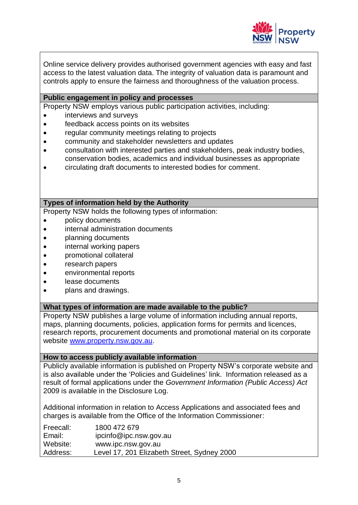

Online service delivery provides authorised government agencies with easy and fast access to the latest valuation data. The integrity of valuation data is paramount and controls apply to ensure the fairness and thoroughness of the valuation process.

#### **Public engagement in policy and processes**

Property NSW employs various public participation activities, including:

- interviews and surveys
- feedback access points on its websites
- regular community meetings relating to projects
- community and stakeholder newsletters and updates
- consultation with interested parties and stakeholders, peak industry bodies, conservation bodies, academics and individual businesses as appropriate
- circulating draft documents to interested bodies for comment.

#### **Types of information held by the Authority**

Property NSW holds the following types of information:

- policy documents
- internal administration documents
- planning documents
- internal working papers
- promotional collateral
- research papers
- environmental reports
- lease documents
- plans and drawings.

#### **What types of information are made available to the public?**

Property NSW publishes a large volume of information including annual reports, maps, planning documents, policies, application forms for permits and licences, research reports, procurement documents and promotional material on its corporate website [www.property.nsw.gov.au.](http://www.property.nsw.gov.au/)

#### **How to access publicly available information**

Publicly available information is published on Property NSW's corporate website and is also available under the 'Policies and Guidelines' link. Information released as a result of formal applications under the *Government Information (Public Access) Act* 2009 is available in the Disclosure Log.

Additional information in relation to Access Applications and associated fees and charges is available from the Office of the Information Commissioner:

| Freecall: | 1800 472 679                                |
|-----------|---------------------------------------------|
| Email:    | ipcinfo@ipc.nsw.gov.au                      |
| Website:  | www.ipc.nsw.gov.au                          |
| Address:  | Level 17, 201 Elizabeth Street, Sydney 2000 |